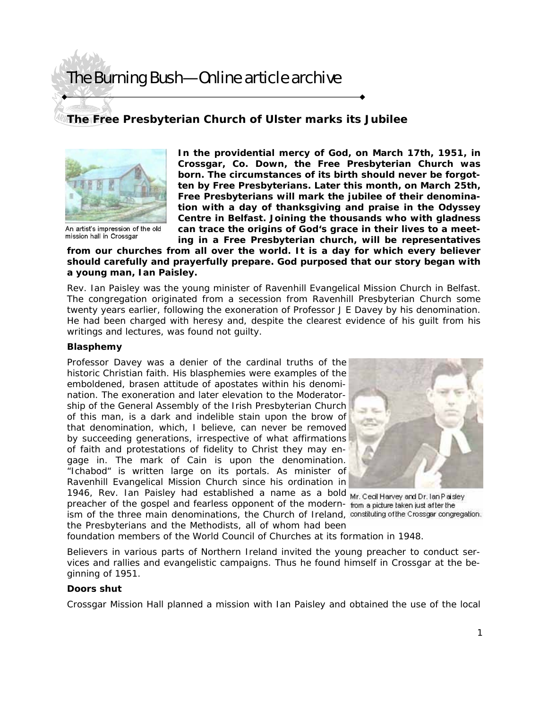# The Burning Bush—Online article archive

# **The Free Presbyterian Church of Ulster marks its Jubilee**



An artist's impression of the old mission hall in Crossgar

**In the providential mercy of God, on March 17th, 1951, in Crossgar, Co. Down, the Free Presbyterian Church was born. The circumstances of its birth should never be forgotten by Free Presbyterians. Later this month, on March 25th, Free Presbyterians will mark the jubilee of their denomination with a day of thanksgiving and praise in the Odyssey Centre in Belfast. Joining the thousands who with gladness can trace the origins of God's grace in their lives to a meeting in a Free Presbyterian church, will be representatives** 

**from our churches from all over the world. It is a day for which every believer should carefully and prayerfully prepare. God purposed that our story began with a young man, Ian Paisley.** 

Rev. Ian Paisley was the young minister of Ravenhill Evangelical Mission Church in Belfast. The congregation originated from a secession from Ravenhill Presbyterian Church some twenty years earlier, following the exoneration of Professor J E Davey by his denomination. He had been charged with heresy and, despite the clearest evidence of his guilt from his writings and lectures, was found not guilty.

#### **Blasphemy**

Professor Davey was a denier of the cardinal truths of the historic Christian faith. His blasphemies were examples of the emboldened, brasen attitude of apostates within his denomination. The exoneration and later elevation to the Moderatorship of the General Assembly of the Irish Presbyterian Church of this man, is a dark and indelible stain upon the brow of that denomination, which, I believe, can never be removed by succeeding generations, irrespective of what affirmations of faith and protestations of fidelity to Christ they may engage in. The mark of Cain is upon the denomination. "Ichabod" is written large on its portals. As minister of Ravenhill Evangelical Mission Church since his ordination in 1946, Rev. Ian Paisley had established a name as a bold Mr. Ced Harvey and Dr. lan Paisley

preacher of the gospel and fearless opponent of the modern- from a picture taken just after the ism of the three main denominations, the Church of Ireland, constituting of the Crossgar congregation. the Presbyterians and the Methodists, all of whom had been



foundation members of the World Council of Churches at its formation in 1948.

Believers in various parts of Northern Ireland invited the young preacher to conduct services and rallies and evangelistic campaigns. Thus he found himself in Crossgar at the beginning of 1951.

#### **Doors shut**

Crossgar Mission Hall planned a mission with Ian Paisley and obtained the use of the local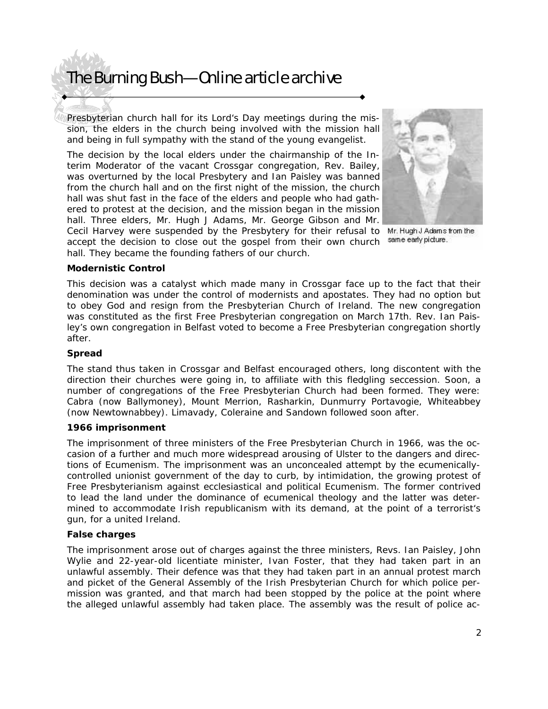# The Burning Bush—Online article archive

Presbyterian church hall for its Lord's Day meetings during the mission, the elders in the church being involved with the mission hall and being in full sympathy with the stand of the young evangelist.

The decision by the local elders under the chairmanship of the Interim Moderator of the vacant Crossgar congregation, Rev. Bailey, was overturned by the local Presbytery and Ian Paisley was banned from the church hall and on the first night of the mission, the church hall was shut fast in the face of the elders and people who had gathered to protest at the decision, and the mission began in the mission hall. Three elders, Mr. Hugh J Adams, Mr. George Gibson and Mr.



same early picture.

Cecil Harvey were suspended by the Presbytery for their refusal to Mr. HughJ Adams from the accept the decision to close out the gospel from their own church hall. They became the founding fathers of our church.

### **Modernistic Control**

This decision was a catalyst which made many in Crossgar face up to the fact that their denomination was under the control of modernists and apostates. They had no option but to obey God and resign from the Presbyterian Church of Ireland. The new congregation was constituted as the first Free Presbyterian congregation on March 17th. Rev. Ian Paisley's own congregation in Belfast voted to become a Free Presbyterian congregation shortly after.

#### **Spread**

The stand thus taken in Crossgar and Belfast encouraged others, long discontent with the direction their churches were going in, to affiliate with this fledgling seccession. Soon, a number of congregations of the Free Presbyterian Church had been formed. They were: Cabra (now Ballymoney), Mount Merrion, Rasharkin, Dunmurry Portavogie, Whiteabbey (now Newtownabbey). Limavady, Coleraine and Sandown followed soon after.

#### **1966 imprisonment**

The imprisonment of three ministers of the Free Presbyterian Church in 1966, was the occasion of a further and much more widespread arousing of Ulster to the dangers and directions of Ecumenism. The imprisonment was an unconcealed attempt by the ecumenicallycontrolled unionist government of the day to curb, by intimidation, the growing protest of Free Presbyterianism against ecclesiastical and political Ecumenism. The former contrived to lead the land under the dominance of ecumenical theology and the latter was determined to accommodate Irish republicanism with its demand, at the point of a terrorist's gun, for a united Ireland.

## **False charges**

The imprisonment arose out of charges against the three ministers, Revs. Ian Paisley, John Wylie and 22-year-old licentiate minister, Ivan Foster, that they had taken part in an unlawful assembly. Their defence was that they had taken part in an annual protest march and picket of the General Assembly of the Irish Presbyterian Church for which police permission was granted, and that march had been stopped by the police at the point where the alleged unlawful assembly had taken place. The assembly was the result of police ac-